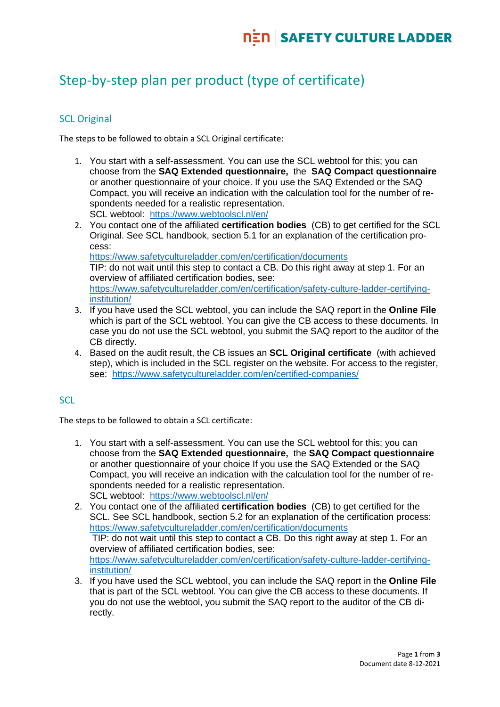# Step-by-step plan per product (type of certificate)

# **SCL Original**

The steps to be followed to obtain a SCL Original certificate:

- 1. You start with a self-assessment. You can use the SCL webtool for this; you can choose from the **SAQ Extended questionnaire,** the **SAQ Compact questionnaire** or another questionnaire of your choice. If you use the SAQ Extended or the SAQ Compact, you will receive an indication with the calculation tool for the number of respondents needed for a realistic representation. SCL webtool: <https://www.webtoolscl.nl/en/>
- 2. You contact one of the affiliated **certification bodies** (CB) to get certified for the SCL Original. See SCL handbook, section 5.1 for an explanation of the certification process: <https://www.safetycultureladder.com/en/certification/documents> TIP: do not wait until this step to contact a CB. Do this right away at step 1. For an overview of affiliated certification bodies, see: [https://www.safetycultureladder.com/en/certification/safety-culture-ladder-certifying](https://www.safetycultureladder.com/en/certification/safety-culture-ladder-certifying-institution/)[institution/](https://www.safetycultureladder.com/en/certification/safety-culture-ladder-certifying-institution/)
- 3. If you have used the SCL webtool, you can include the SAQ report in the **Online File**  which is part of the SCL webtool. You can give the CB access to these documents. In case you do not use the SCL webtool, you submit the SAQ report to the auditor of the CB directly.
- 4. Based on the audit result, the CB issues an **SCL Original certificate** (with achieved step), which is included in the SCL register on the website. For access to the register, see: <https://www.safetycultureladder.com/en/certified-companies/>

### **SCL**

The steps to be followed to obtain a SCL certificate:

- 1. You start with a self-assessment. You can use the SCL webtool for this; you can choose from the **SAQ Extended questionnaire,** the **SAQ Compact questionnaire** or another questionnaire of your choice If you use the SAQ Extended or the SAQ Compact, you will receive an indication with the calculation tool for the number of respondents needed for a realistic representation. SCL webtool: <https://www.webtoolscl.nl/en/>
- 2. You contact one of the affiliated **certification bodies** (CB) to get certified for the SCL. See SCL handbook, section 5.2 for an explanation of the certification process: <https://www.safetycultureladder.com/en/certification/documents> TIP: do not wait until this step to contact a CB. Do this right away at step 1. For an overview of affiliated certification bodies, see: [https://www.safetycultureladder.com/en/certification/safety-culture-ladder-certifying](https://www.safetycultureladder.com/en/certification/safety-culture-ladder-certifying-institution/)[institution/](https://www.safetycultureladder.com/en/certification/safety-culture-ladder-certifying-institution/)
- 3. If you have used the SCL webtool, you can include the SAQ report in the **Online File**  that is part of the SCL webtool. You can give the CB access to these documents. If you do not use the webtool, you submit the SAQ report to the auditor of the CB directly.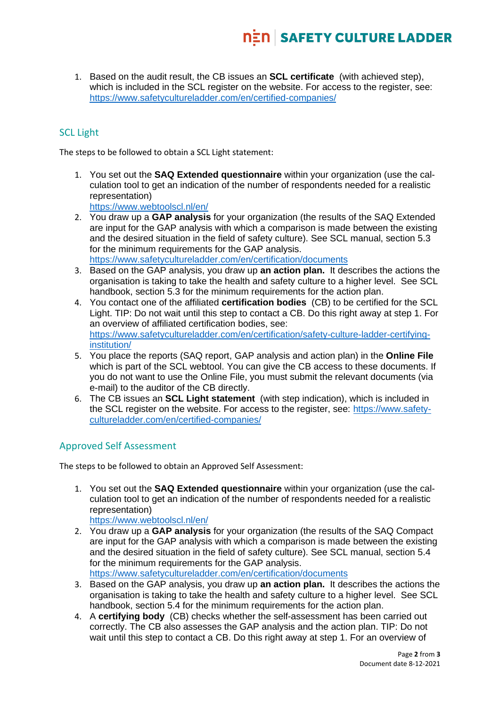1. Based on the audit result, the CB issues an **SCL certificate** (with achieved step), which is included in the SCL register on the website. For access to the register, see: <https://www.safetycultureladder.com/en/certified-companies/>

# SCL Light

The steps to be followed to obtain a SCL Light statement:

1. You set out the **SAQ Extended questionnaire** within your organization (use the calculation tool to get an indication of the number of respondents needed for a realistic representation)

<https://www.webtoolscl.nl/en/>

- 2. You draw up a **GAP analysis** for your organization (the results of the SAQ Extended are input for the GAP analysis with which a comparison is made between the existing and the desired situation in the field of safety culture). See SCL manual, section 5.3 for the minimum requirements for the GAP analysis. <https://www.safetycultureladder.com/en/certification/documents>
- 3. Based on the GAP analysis, you draw up **an action plan.** It describes the actions the organisation is taking to take the health and safety culture to a higher level. See SCL handbook, section 5.3 for the minimum requirements for the action plan.
- 4. You contact one of the affiliated **certification bodies** (CB) to be certified for the SCL Light. TIP: Do not wait until this step to contact a CB. Do this right away at step 1. For an overview of affiliated certification bodies, see: [https://www.safetycultureladder.com/en/certification/safety-culture-ladder-certifying](https://www.safetycultureladder.com/en/certification/safety-culture-ladder-certifying-institution/)[institution/](https://www.safetycultureladder.com/en/certification/safety-culture-ladder-certifying-institution/)
- 5. You place the reports (SAQ report, GAP analysis and action plan) in the **Online File** which is part of the SCL webtool. You can give the CB access to these documents. If you do not want to use the Online File, you must submit the relevant documents (via e-mail) to the auditor of the CB directly.
- 6. The CB issues an **SCL Light statement** (with step indication), which is included in the SCL register on the website. For access to the register, see: [https://www.safety](https://www.safetycultureladder.com/en/certified-companies/)[cultureladder.com/en/certified-companies/](https://www.safetycultureladder.com/en/certified-companies/)

### Approved Self Assessment

The steps to be followed to obtain an Approved Self Assessment:

1. You set out the **SAQ Extended questionnaire** within your organization (use the calculation tool to get an indication of the number of respondents needed for a realistic representation)

<https://www.webtoolscl.nl/en/>

2. You draw up a **GAP analysis** for your organization (the results of the SAQ Compact are input for the GAP analysis with which a comparison is made between the existing and the desired situation in the field of safety culture). See SCL manual, section 5.4 for the minimum requirements for the GAP analysis. <https://www.safetycultureladder.com/en/certification/documents>

- 3. Based on the GAP analysis, you draw up **an action plan.** It describes the actions the organisation is taking to take the health and safety culture to a higher level. See SCL handbook, section 5.4 for the minimum requirements for the action plan.
- 4. A **certifying body** (CB) checks whether the self-assessment has been carried out correctly. The CB also assesses the GAP analysis and the action plan. TIP: Do not wait until this step to contact a CB. Do this right away at step 1. For an overview of